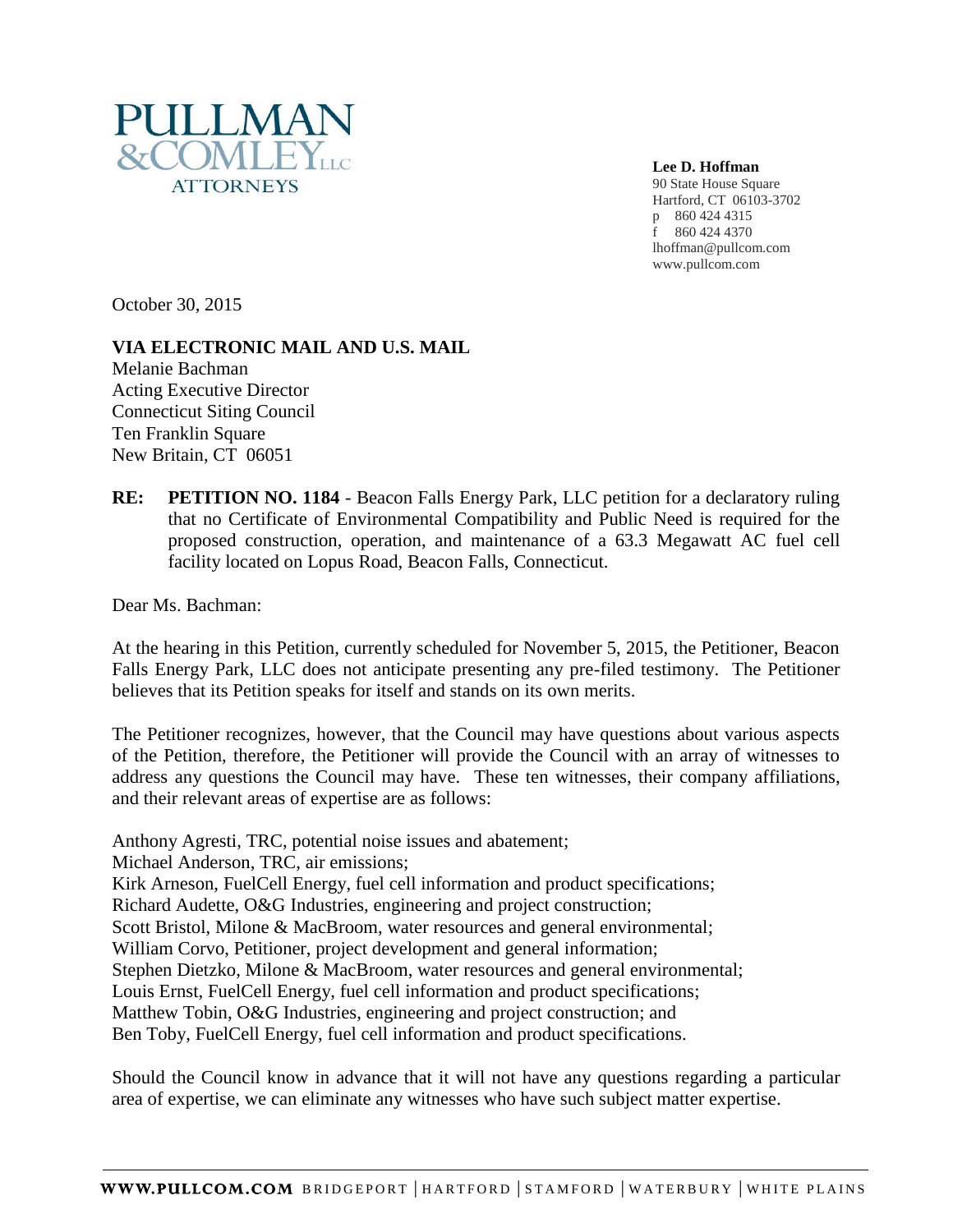

**Lee D. Hoffman** 90 State House Square Hartford, CT 06103-3702 p 860 424 4315 f 860 424 4370 lhoffman@pullcom.com www.pullcom.com

October 30, 2015

## **VIA ELECTRONIC MAIL AND U.S. MAIL**

Melanie Bachman Acting Executive Director Connecticut Siting Council Ten Franklin Square New Britain, CT 06051

**RE: PETITION NO. 1184** - Beacon Falls Energy Park, LLC petition for a declaratory ruling that no Certificate of Environmental Compatibility and Public Need is required for the proposed construction, operation, and maintenance of a 63.3 Megawatt AC fuel cell facility located on Lopus Road, Beacon Falls, Connecticut.

Dear Ms. Bachman:

At the hearing in this Petition, currently scheduled for November 5, 2015, the Petitioner, Beacon Falls Energy Park, LLC does not anticipate presenting any pre-filed testimony. The Petitioner believes that its Petition speaks for itself and stands on its own merits.

The Petitioner recognizes, however, that the Council may have questions about various aspects of the Petition, therefore, the Petitioner will provide the Council with an array of witnesses to address any questions the Council may have. These ten witnesses, their company affiliations, and their relevant areas of expertise are as follows:

Anthony Agresti, TRC, potential noise issues and abatement;

Michael Anderson, TRC, air emissions;

Kirk Arneson, FuelCell Energy, fuel cell information and product specifications;

Richard Audette, O&G Industries, engineering and project construction;

Scott Bristol, Milone & MacBroom, water resources and general environmental;

William Corvo, Petitioner, project development and general information;

Stephen Dietzko, Milone & MacBroom, water resources and general environmental;

Louis Ernst, FuelCell Energy, fuel cell information and product specifications;

Matthew Tobin, O&G Industries, engineering and project construction; and

Ben Toby, FuelCell Energy, fuel cell information and product specifications.

Should the Council know in advance that it will not have any questions regarding a particular area of expertise, we can eliminate any witnesses who have such subject matter expertise.